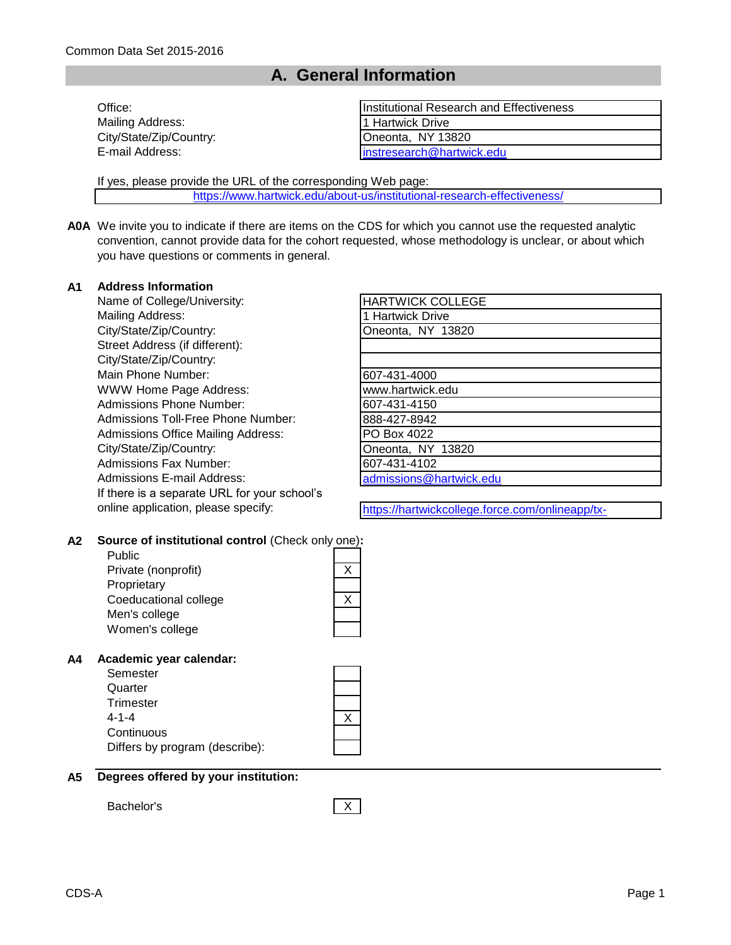# **A. General Information**

| Office:                 | Institutional Research and Effectiveness |
|-------------------------|------------------------------------------|
| Mailing Address:        | 11 Hartwick Drive                        |
| City/State/Zip/Country: | Oneonta, NY 13820                        |
| E-mail Address:         | linstresearch@hartwick.edu               |

If yes, please provide the URL of the corresponding Web page:

[https://www.hartwick.edu/ab](https://www.hartwick.edu/about-us/institutional-research-effectiveness/)out-us/institutional-research-effectiveness/

**A0A** We invite you to indicate if there are items on the CDS for which you cannot use the requested analytic convention, cannot provide data for the cohort requested, whose methodology is unclear, or about which you have questions or comments in general.

#### **A1 Address Information**

Name of College/University: Mailing Address: City/State/Zip/Country: Street Address (if different): City/State/Zip/Country: Main Phone Number: WWW Home Page Address: Admissions Phone Number: Admissions Toll-Free Phone Number: Admissions Office Mailing Address: City/State/Zip/Country: Admissions Fax Number: Admissions E-mail Address: If there is a separate URL for your school's online application, please specify:

| <b>HARTWICK COLLEGE</b> |
|-------------------------|
| 1 Hartwick Drive        |
| Oneonta, NY 13820       |
|                         |
|                         |
| 607-431-4000            |
| www.hartwick.edu        |
| 607-431-4150            |
| 888-427-8942            |
| PO Box 4022             |
| Oneonta, NY 13820       |
| 607-431-4102            |
| admissions@hartwick.edu |

https://hartwickcollege.force.com/onlineapp/tx-

communitieshome

#### **A2 Source of institutional control** (Check only one)**:**

Public Private (nonprofit) **Proprietary** Coeducational college Men's college Women's college

### **A4 Academic year calendar:**

| Semester                       |  |
|--------------------------------|--|
| Quarter                        |  |
| Trimester                      |  |
| 4-1-4                          |  |
| Continuous                     |  |
| Differs by program (describe): |  |

| A5 Degrees offered by your institution: |
|-----------------------------------------|

Bachelor's X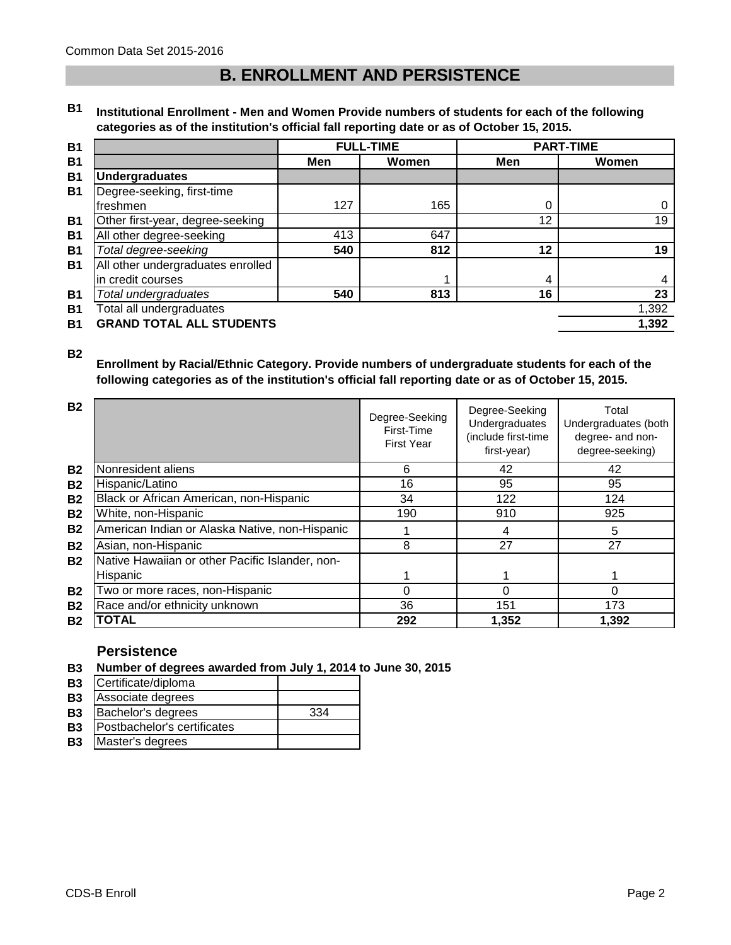# **B. ENROLLMENT AND PERSISTENCE**

#### **B1 Institutional Enrollment - Men and Women Provide numbers of students for each of the following categories as of the institution's official fall reporting date or as of October 15, 2015.**

|                                   |     | <b>FULL-TIME</b> | <b>PART-TIME</b> |       |
|-----------------------------------|-----|------------------|------------------|-------|
|                                   | Men | Women            | Men              | Women |
| <b>Undergraduates</b>             |     |                  |                  |       |
| Degree-seeking, first-time        |     |                  |                  |       |
| freshmen                          | 127 | 165              | 0                | 0     |
| Other first-year, degree-seeking  |     |                  | 12               | 19    |
| All other degree-seeking          | 413 | 647              |                  |       |
| Total degree-seeking              | 540 | 812              | 12               | 19    |
| All other undergraduates enrolled |     |                  |                  |       |
| in credit courses                 |     |                  | 4                | 4     |
| Total undergraduates              | 540 | 813              | 16               | 23    |
| Total all undergraduates          |     |                  |                  | 1,392 |
| <b>GRAND TOTAL ALL STUDENTS</b>   |     |                  |                  | 1,392 |

**B2**

### **Enrollment by Racial/Ethnic Category. Provide numbers of undergraduate students for each of the following categories as of the institution's official fall reporting date or as of October 15, 2015.**

| <b>B2</b>      |                                                 | Degree-Seeking<br>First-Time<br><b>First Year</b> | Degree-Seeking<br>Undergraduates<br>(include first-time<br>first-year) | Total<br>Undergraduates (both<br>degree- and non-<br>degree-seeking) |
|----------------|-------------------------------------------------|---------------------------------------------------|------------------------------------------------------------------------|----------------------------------------------------------------------|
| <b>B2</b>      | Nonresident aliens                              | 6                                                 | 42                                                                     | 42                                                                   |
| B <sub>2</sub> | Hispanic/Latino                                 | 16                                                | 95                                                                     | 95                                                                   |
| <b>B2</b>      | Black or African American, non-Hispanic         | 34                                                | 122                                                                    | 124                                                                  |
| <b>B2</b>      | White, non-Hispanic                             | 190                                               | 910                                                                    | 925                                                                  |
| <b>B2</b>      | American Indian or Alaska Native, non-Hispanic  |                                                   | 4                                                                      | 5                                                                    |
| <b>B2</b>      | Asian, non-Hispanic                             | 8                                                 | 27                                                                     | 27                                                                   |
| <b>B2</b>      | Native Hawaiian or other Pacific Islander, non- |                                                   |                                                                        |                                                                      |
|                | Hispanic                                        |                                                   |                                                                        |                                                                      |
| <b>B2</b>      | Two or more races, non-Hispanic                 | 0                                                 | $\Omega$                                                               | 0                                                                    |
| <b>B2</b>      | Race and/or ethnicity unknown                   | 36                                                | 151                                                                    | 173                                                                  |
| <b>B2</b>      | TOTAL                                           | 292                                               | 1,352                                                                  | 1,392                                                                |

### **Persistence**

**B3 Number of degrees awarded from July 1, 2014 to June 30, 2015**

| --        |                             |  |
|-----------|-----------------------------|--|
| <b>B3</b> | Certificate/diploma         |  |
| <b>B3</b> | Associate degrees           |  |
| <b>B3</b> | Bachelor's degrees          |  |
| <b>B3</b> | Postbachelor's certificates |  |

**B3** Master's degrees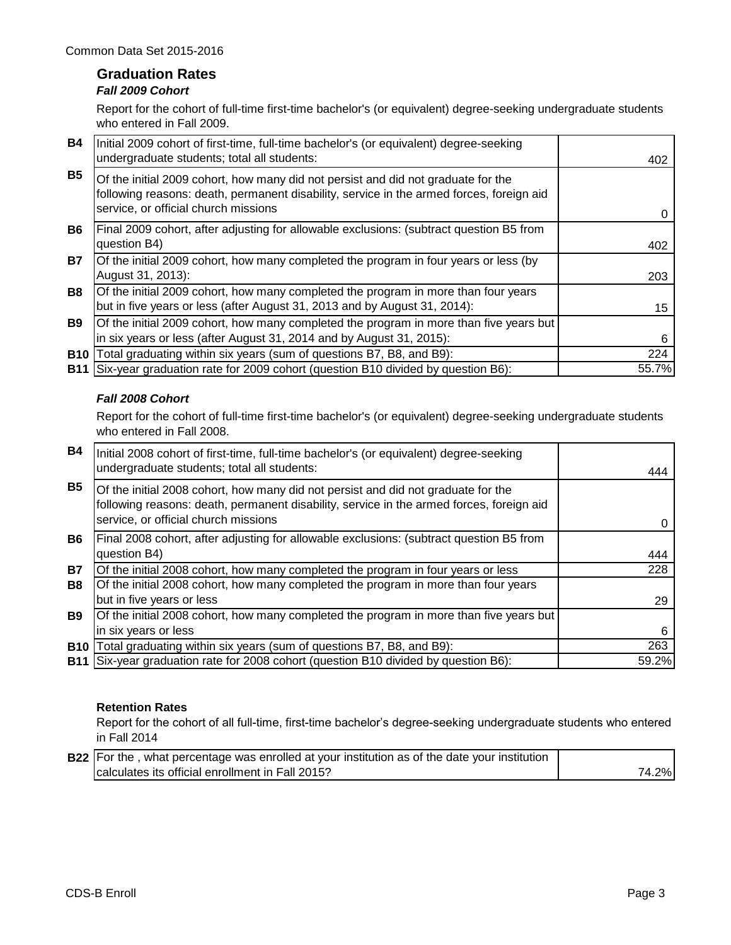# **Graduation Rates**

## *Fall 2009 Cohort*

Report for the cohort of full-time first-time bachelor's (or equivalent) degree-seeking undergraduate students who entered in Fall 2009.

| <b>B4</b>  | Initial 2009 cohort of first-time, full-time bachelor's (or equivalent) degree-seeking<br>undergraduate students; total all students:                                                                                 | 402   |
|------------|-----------------------------------------------------------------------------------------------------------------------------------------------------------------------------------------------------------------------|-------|
| <b>B5</b>  | Of the initial 2009 cohort, how many did not persist and did not graduate for the<br>following reasons: death, permanent disability, service in the armed forces, foreign aid<br>service, or official church missions |       |
| <b>B6</b>  | Final 2009 cohort, after adjusting for allowable exclusions: (subtract question B5 from<br>question B4)                                                                                                               | 402   |
| <b>B7</b>  | Of the initial 2009 cohort, how many completed the program in four years or less (by<br>August 31, 2013):                                                                                                             | 203   |
| <b>B8</b>  | Of the initial 2009 cohort, how many completed the program in more than four years<br>but in five years or less (after August 31, 2013 and by August 31, 2014):                                                       | 15    |
| <b>B9</b>  | Of the initial 2009 cohort, how many completed the program in more than five years but<br>in six years or less (after August 31, 2014 and by August 31, 2015):                                                        | 6     |
| <b>B10</b> | Total graduating within six years (sum of questions B7, B8, and B9):                                                                                                                                                  | 224   |
| <b>B11</b> | Six-year graduation rate for 2009 cohort (question B10 divided by question B6):                                                                                                                                       | 55.7% |

### *Fall 2008 Cohort*

Report for the cohort of full-time first-time bachelor's (or equivalent) degree-seeking undergraduate students who entered in Fall 2008.

| <b>B4</b>  | Initial 2008 cohort of first-time, full-time bachelor's (or equivalent) degree-seeking<br>undergraduate students; total all students:                                                                                 | 444   |
|------------|-----------------------------------------------------------------------------------------------------------------------------------------------------------------------------------------------------------------------|-------|
| <b>B5</b>  | Of the initial 2008 cohort, how many did not persist and did not graduate for the<br>following reasons: death, permanent disability, service in the armed forces, foreign aid<br>service, or official church missions |       |
| <b>B6</b>  | Final 2008 cohort, after adjusting for allowable exclusions: (subtract question B5 from<br>question B4)                                                                                                               | 444   |
| <b>B7</b>  | Of the initial 2008 cohort, how many completed the program in four years or less                                                                                                                                      | 228   |
| <b>B8</b>  | Of the initial 2008 cohort, how many completed the program in more than four years                                                                                                                                    |       |
|            | but in five years or less                                                                                                                                                                                             | 29    |
| <b>B9</b>  | Of the initial 2008 cohort, how many completed the program in more than five years but                                                                                                                                |       |
|            | in six years or less                                                                                                                                                                                                  | 6     |
| <b>B10</b> | Total graduating within six years (sum of questions B7, B8, and B9):                                                                                                                                                  | 263   |
|            | B11 Six-year graduation rate for 2008 cohort (question B10 divided by question B6):                                                                                                                                   | 59.2% |

### **Retention Rates**

Report for the cohort of all full-time, first-time bachelor's degree-seeking undergraduate students who entered in Fall 2014

| <b>B22</b> For the, what percentage was enrolled at your institution as of the date your institution |       |
|------------------------------------------------------------------------------------------------------|-------|
| calculates its official enrollment in Fall 2015?                                                     | 74.2% |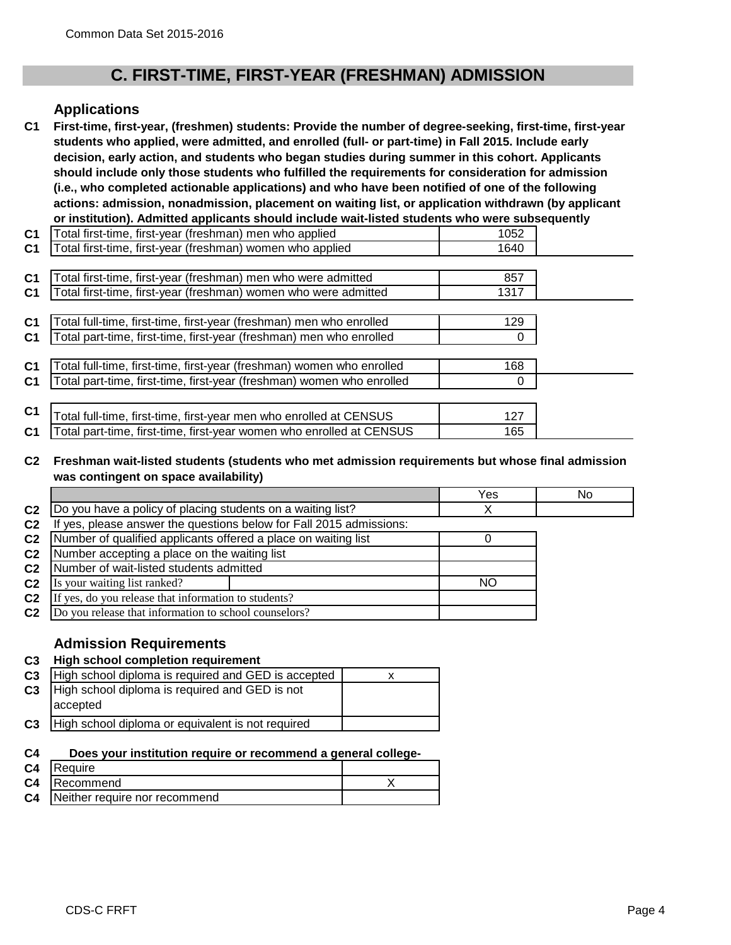# **C. FIRST-TIME, FIRST-YEAR (FRESHMAN) ADMISSION**

### **Applications**

**C1 First-time, first-year, (freshmen) students: Provide the number of degree-seeking, first-time, first-year students who applied, were admitted, and enrolled (full- or part-time) in Fall 2015. Include early decision, early action, and students who began studies during summer in this cohort. Applicants should include only those students who fulfilled the requirements for consideration for admission (i.e., who completed actionable applications) and who have been notified of one of the following actions: admission, nonadmission, placement on waiting list, or application withdrawn (by applicant or institution). Admitted applicants should include wait-listed students who were subsequently** 

| C <sub>1</sub> | Total first-time, first-year (freshman) men who applied               | 1052 |  |
|----------------|-----------------------------------------------------------------------|------|--|
| C <sub>1</sub> | Total first-time, first-year (freshman) women who applied             | 1640 |  |
|                |                                                                       |      |  |
| C <sub>1</sub> | Total first-time, first-year (freshman) men who were admitted         | 857  |  |
| C1             | Total first-time, first-year (freshman) women who were admitted       | 1317 |  |
|                |                                                                       |      |  |
| C <sub>1</sub> | Total full-time, first-time, first-year (freshman) men who enrolled   | 129  |  |
| C1             | Total part-time, first-time, first-year (freshman) men who enrolled   | 0    |  |
|                |                                                                       |      |  |
| C <sub>1</sub> | Total full-time, first-time, first-year (freshman) women who enrolled | 168  |  |
| C <sub>1</sub> | Total part-time, first-time, first-year (freshman) women who enrolled |      |  |
|                |                                                                       |      |  |
| C <sub>1</sub> | Total full-time, first-time, first-year men who enrolled at CENSUS    | 127  |  |
| C <sub>1</sub> | Fotal part-time, first-time, first-year women who enrolled at CENSUS  | 165  |  |

#### **C2 Freshman wait-listed students (students who met admission requirements but whose final admission was contingent on space availability)**

|                |                                                                     | Yes | No |
|----------------|---------------------------------------------------------------------|-----|----|
| C <sub>2</sub> | Do you have a policy of placing students on a waiting list?         |     |    |
| C <sub>2</sub> | If yes, please answer the questions below for Fall 2015 admissions: |     |    |
| C <sub>2</sub> | Number of qualified applicants offered a place on waiting list      |     |    |
| C <sub>2</sub> | Number accepting a place on the waiting list                        |     |    |
| C <sub>2</sub> | Number of wait-listed students admitted                             |     |    |
| C <sub>2</sub> | Is your waiting list ranked?                                        | NO. |    |
| C <sub>2</sub> | If yes, do you release that information to students?                |     |    |
| C <sub>2</sub> | Do you release that information to school counselors?               |     |    |
|                |                                                                     |     |    |

### **Admission Requirements**

### **C3 High school completion requirement**

| C <sub>3</sub> | High school diploma is required and GED is accepted        |  |
|----------------|------------------------------------------------------------|--|
| C <sub>3</sub> | High school diploma is required and GED is not<br>accepted |  |
| C <sub>3</sub> | High school diploma or equivalent is not required          |  |

#### **C4 Does your institution require or recommend a general college-**

| C <sub>4</sub> | <b>IRequire</b>               |  |
|----------------|-------------------------------|--|
| C <sub>4</sub> | Recommend                     |  |
| C <sub>4</sub> | Neither require nor recommend |  |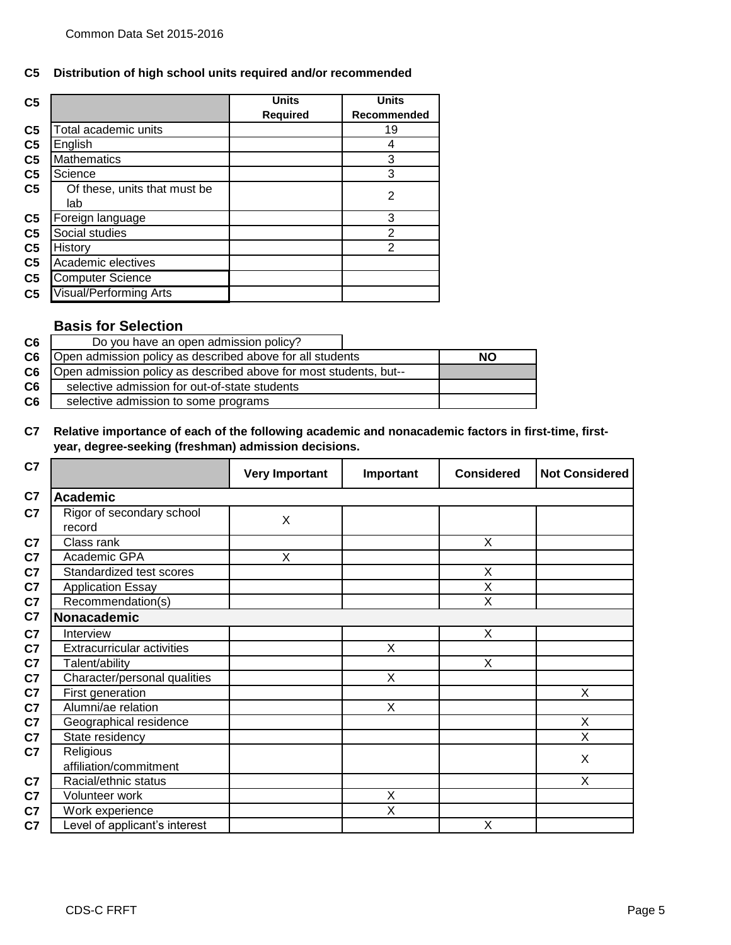#### **C5 Distribution of high school units required and/or recommended**

| C <sub>5</sub> |                               | <b>Units</b>    | <b>Units</b>   |
|----------------|-------------------------------|-----------------|----------------|
|                |                               | <b>Required</b> | Recommended    |
| C <sub>5</sub> | Total academic units          |                 | 19             |
| C <sub>5</sub> | English                       |                 | 4              |
| C <sub>5</sub> | <b>Mathematics</b>            |                 | 3              |
| C <sub>5</sub> | Science                       |                 | 3              |
| C <sub>5</sub> | Of these, units that must be  |                 | 2              |
|                | lab                           |                 |                |
| C <sub>5</sub> | Foreign language              |                 | 3              |
| C <sub>5</sub> | Social studies                |                 | $\overline{2}$ |
| C <sub>5</sub> | History                       |                 | 2              |
| C <sub>5</sub> | Academic electives            |                 |                |
| C <sub>5</sub> | <b>Computer Science</b>       |                 |                |
| C <sub>5</sub> | <b>Visual/Performing Arts</b> |                 |                |

# **Basis for Selection**

| C6             | Do you have an open admission policy?                             |    |
|----------------|-------------------------------------------------------------------|----|
| C6             | Open admission policy as described above for all students         | NΟ |
| C <sub>6</sub> | Open admission policy as described above for most students, but-- |    |
| C <sub>6</sub> | selective admission for out-of-state students                     |    |
| C <sub>6</sub> | selective admission to some programs                              |    |

#### **C7 Relative importance of each of the following academic and nonacademic factors in first-time, firstyear, degree-seeking (freshman) admission decisions.**

| C7                                        | <b>Very Important</b> | Important | <b>Considered</b> | <b>Not Considered</b>   |
|-------------------------------------------|-----------------------|-----------|-------------------|-------------------------|
| C7<br><b>Academic</b>                     |                       |           |                   |                         |
| Rigor of secondary school<br>C7<br>record | X                     |           |                   |                         |
| C7<br>Class rank                          |                       |           | X                 |                         |
| Academic GPA                              | X                     |           |                   |                         |
| Standardized test scores                  |                       |           | X                 |                         |
| <b>Application Essay</b>                  |                       |           | X                 |                         |
| Recommendation(s)                         |                       |           | X                 |                         |
| Nonacademic                               |                       |           |                   |                         |
| Interview                                 |                       |           | X                 |                         |
| <b>Extracurricular activities</b>         |                       | X         |                   |                         |
| Talent/ability                            |                       |           | X                 |                         |
| Character/personal qualities              |                       | X         |                   |                         |
| First generation                          |                       |           |                   | X                       |
| Alumni/ae relation                        |                       | X         |                   |                         |
| Geographical residence                    |                       |           |                   | X                       |
| State residency                           |                       |           |                   | $\overline{\mathsf{x}}$ |
| Religious<br>affiliation/commitment       |                       |           |                   | X                       |
| Racial/ethnic status                      |                       |           |                   | X                       |
| Volunteer work                            |                       | X         |                   |                         |
| Work experience                           |                       | X         |                   |                         |
| Level of applicant's interest             |                       |           | X                 |                         |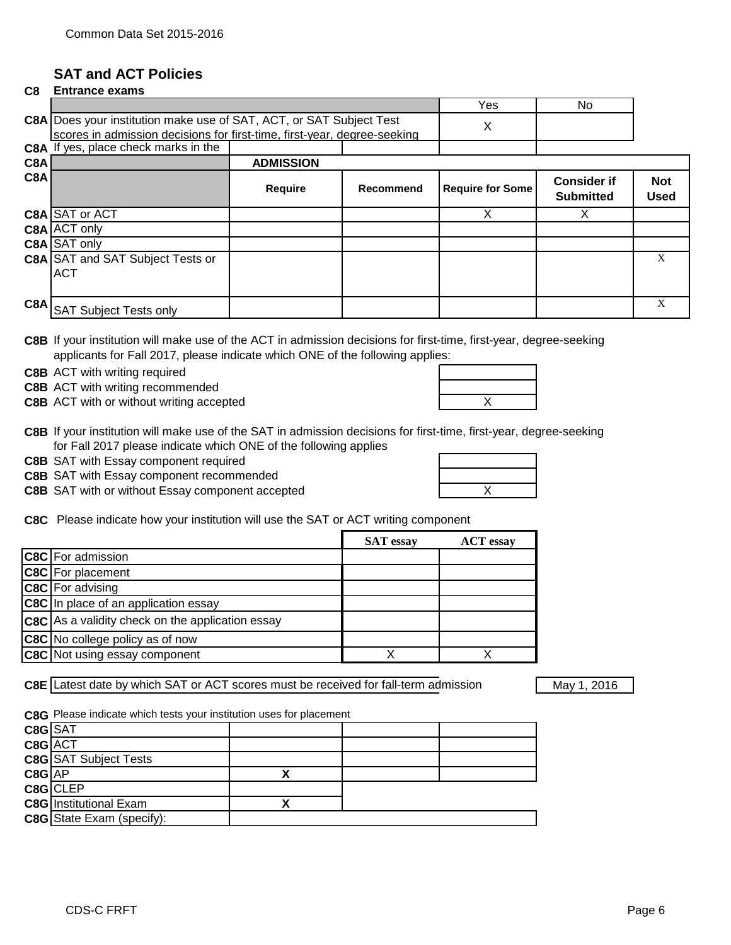# **SAT and ACT Policies**

#### **C8 Entrance exams**  Yes I No **C8A** Does your institution make use of SAT, ACT, or SAT Subject Test  $\chi$ **C8A** If yes, place check marks in the scores in admission decisions for first-time, first-year, degree-seeking

|     | <b>COA</b> II yes, place crieck marks in the |                  |           |                         |                                        |                           |
|-----|----------------------------------------------|------------------|-----------|-------------------------|----------------------------------------|---------------------------|
| C8A |                                              | <b>ADMISSION</b> |           |                         |                                        |                           |
| C8A |                                              | Require          | Recommend | <b>Require for Some</b> | <b>Consider if</b><br><b>Submitted</b> | <b>Not</b><br><b>Used</b> |
|     | C8A SAT or ACT                               |                  |           | Χ                       |                                        |                           |
|     | C8A ACT only                                 |                  |           |                         |                                        |                           |
|     | C8A SAT only                                 |                  |           |                         |                                        |                           |
|     | <b>C8A SAT and SAT Subject Tests or</b>      |                  |           |                         |                                        | X                         |
|     | <b>ACT</b>                                   |                  |           |                         |                                        |                           |
|     | C8A SAT Subject Tests only                   |                  |           |                         |                                        | X                         |

**C8B** If your institution will make use of the ACT in admission decisions for first-time, first-year, degree-seeking applicants for Fall 2017, please indicate which ONE of the following applies:

**C8B** ACT with writing required

**C8B** ACT with writing recommended

**C8B** ACT with or without writing accepted **ACT ACT ACT X** 

| C8B If your institution will make use of the SAT in admission decisions for first-time, first-year, degree-seeking |
|--------------------------------------------------------------------------------------------------------------------|
| for Fall 2017 please indicate which ONE of the following applies                                                   |

**C8B** SAT with Essay component required

**C8B** SAT with Essay component recommended

**C8B** SAT with or without Essay component accepted **EXA CONFERGATE:** THE RESEARCH

**C8C** Please indicate how your institution will use the SAT or ACT writing component

|                                                         | <b>SAT</b> essay | <b>ACT</b> essay |
|---------------------------------------------------------|------------------|------------------|
| <b>C8C</b> For admission                                |                  |                  |
| <b>C8C</b> For placement                                |                  |                  |
| <b>C8C</b> For advising                                 |                  |                  |
| <b>C8C</b> In place of an application essay             |                  |                  |
| <b>C8C</b> As a validity check on the application essay |                  |                  |
| <b>C8C</b> No college policy as of now                  |                  |                  |
| <b>C8C</b> Not using essay component                    |                  |                  |

**C8E** Latest date by which SAT or ACT scores must be received for fall-term admission May 1, 2016

**C8G** Please indicate which tests your institution uses for placement

|            | $C8G$ SAT                     |  |  |
|------------|-------------------------------|--|--|
|            | C8G ACT                       |  |  |
|            | <b>C8G SAT Subject Tests</b>  |  |  |
| $C8G$ $AP$ |                               |  |  |
|            | $C8G$ CLEP                    |  |  |
|            | <b>C8G</b> Institutional Exam |  |  |
|            | C8G State Exam (specify):     |  |  |
|            |                               |  |  |

|  | $mno, mno$ , your, ac |  |
|--|-----------------------|--|
|  |                       |  |
|  |                       |  |
|  |                       |  |

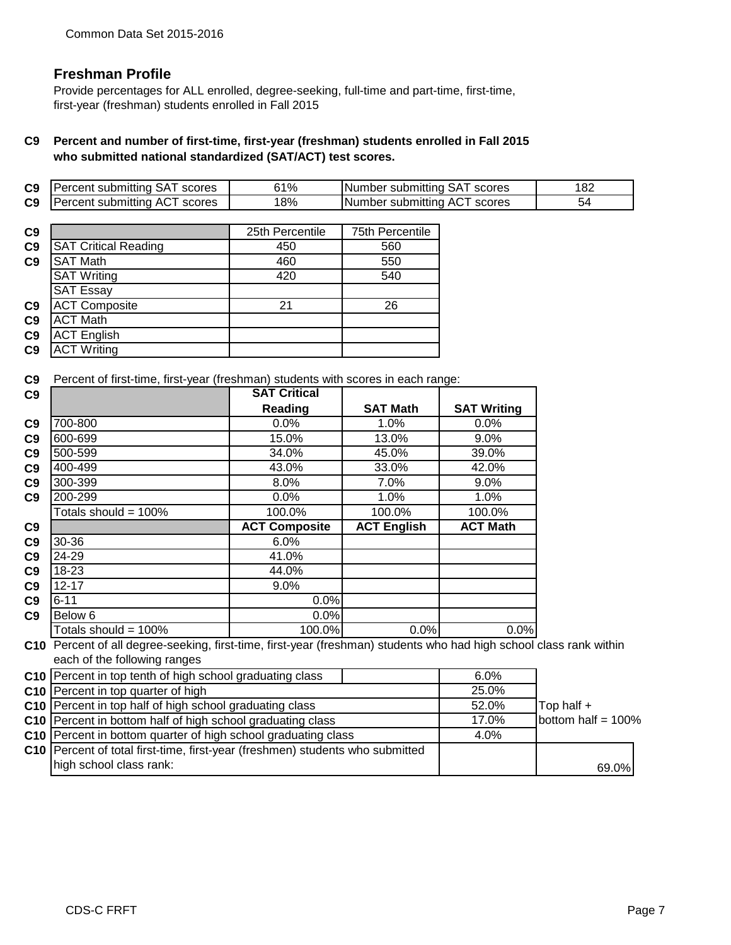## **Freshman Profile**

Provide percentages for ALL enrolled, degree-seeking, full-time and part-time, first-time, first-year (freshman) students enrolled in Fall 2015

### **C9 Percent and number of first-time, first-year (freshman) students enrolled in Fall 2015 who submitted national standardized (SAT/ACT) test scores.**

| C9 | <b>Percent submitting SAT scores</b> | ን1% | Number submitting SAT scores |  |
|----|--------------------------------------|-----|------------------------------|--|
| C9 | Percent submitting ACT scores        | 18% | Number submitting ACT scores |  |
|    |                                      |     |                              |  |

| C <sub>9</sub> |                             | 25th Percentile | 75th Percentile |
|----------------|-----------------------------|-----------------|-----------------|
| C <sub>9</sub> | <b>SAT Critical Reading</b> | 450             | 560             |
| C <sub>9</sub> | <b>SAT Math</b>             | 460             | 550             |
|                | <b>SAT Writing</b>          | 420             | 540             |
|                | <b>SAT Essay</b>            |                 |                 |
| C <sub>9</sub> | <b>ACT Composite</b>        | 21              | 26              |
| C <sub>9</sub> | <b>ACT Math</b>             |                 |                 |
| C <sub>9</sub> | <b>ACT English</b>          |                 |                 |
| C <sub>9</sub> | <b>ACT Writing</b>          |                 |                 |

**C9** Percent of first-time, first-year (freshman) students with scores in each range:

| C9 |                                                                                                                                                     | <b>SAT Critical</b>  |                    |                    |                       |
|----|-----------------------------------------------------------------------------------------------------------------------------------------------------|----------------------|--------------------|--------------------|-----------------------|
|    |                                                                                                                                                     | Reading              | <b>SAT Math</b>    | <b>SAT Writing</b> |                       |
| C9 | 700-800                                                                                                                                             | 0.0%                 | 1.0%               | 0.0%               |                       |
| C9 | 600-699                                                                                                                                             | 15.0%                | 13.0%              | 9.0%               |                       |
| C9 | 500-599                                                                                                                                             | 34.0%                | 45.0%              | 39.0%              |                       |
| C9 | 400-499                                                                                                                                             | 43.0%                | 33.0%              | 42.0%              |                       |
| C9 | 300-399                                                                                                                                             | 8.0%                 | 7.0%               | 9.0%               |                       |
| C9 | 200-299                                                                                                                                             | 0.0%                 | 1.0%               | 1.0%               |                       |
|    | Totals should = 100%                                                                                                                                | 100.0%               | 100.0%             | 100.0%             |                       |
| C9 |                                                                                                                                                     | <b>ACT Composite</b> | <b>ACT English</b> | <b>ACT Math</b>    |                       |
| C9 | 30-36                                                                                                                                               | 6.0%                 |                    |                    |                       |
| C9 | 24-29                                                                                                                                               | 41.0%                |                    |                    |                       |
| C9 | 18-23                                                                                                                                               | 44.0%                |                    |                    |                       |
| C9 | $12 - 17$                                                                                                                                           | 9.0%                 |                    |                    |                       |
| C9 | $6 - 11$                                                                                                                                            | 0.0%                 |                    |                    |                       |
| C9 | Below 6                                                                                                                                             | 0.0%                 |                    |                    |                       |
|    | Totals should = $100\%$                                                                                                                             | 100.0%               | 0.0%               | 0.0%               |                       |
|    | C10 Percent of all degree-seeking, first-time, first-year (freshman) students who had high school class rank within<br>each of the following ranges |                      |                    |                    |                       |
|    | C10 Percent in top tenth of high school graduating class                                                                                            |                      |                    | 6.0%               |                       |
|    | C10 Percent in top quarter of high                                                                                                                  |                      |                    | 25.0%              |                       |
|    | C10 Percent in top half of high school graduating class                                                                                             |                      |                    | 52.0%              | Top half +            |
|    | C10 Percent in bottom half of high school graduating class                                                                                          |                      |                    | 17.0%              | bottom half = $100\%$ |
|    | C10 Percent in bottom quarter of high school graduating class                                                                                       |                      |                    | 4.0%               |                       |
|    | C10 Percent of total first-time, first-year (freshmen) students who submitted                                                                       |                      |                    |                    |                       |
|    | high school class rank:                                                                                                                             |                      |                    |                    | 69.0%                 |
|    |                                                                                                                                                     |                      |                    |                    |                       |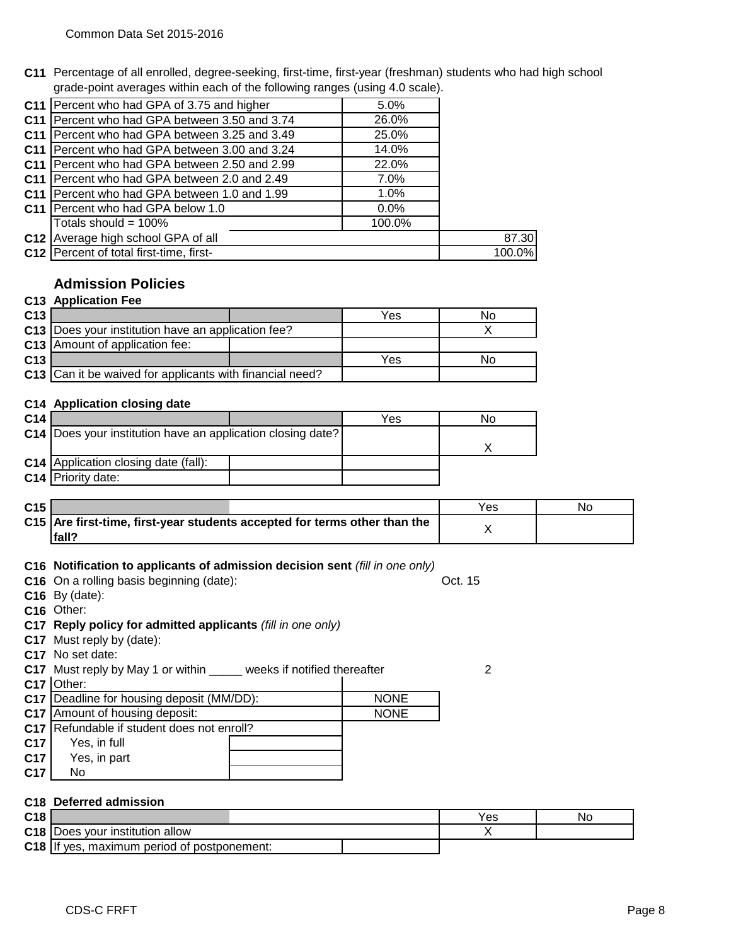**C11** Percentage of all enrolled, degree-seeking, first-time, first-year (freshman) students who had high school grade-point averages within each of the following ranges (using 4.0 scale).

| C11 Percent who had GPA of 3.75 and higher             | 5.0%    |        |
|--------------------------------------------------------|---------|--------|
| C11   Percent who had GPA between 3.50 and 3.74        | 26.0%   |        |
| C11   Percent who had GPA between 3.25 and 3.49        | 25.0%   |        |
| C11   Percent who had GPA between 3.00 and 3.24        | 14.0%   |        |
| <b>C11</b>   Percent who had GPA between 2.50 and 2.99 | 22.0%   |        |
| C11   Percent who had GPA between 2.0 and 2.49         | 7.0%    |        |
| C11   Percent who had GPA between 1.0 and 1.99         | 1.0%    |        |
| C11   Percent who had GPA below 1.0                    | $0.0\%$ |        |
| Totals should = $100\%$                                | 100.0%  |        |
| C12 Average high school GPA of all                     |         | 87.30  |
| C12 Percent of total first-time, first-                |         | 100.0% |

# **Admission Policies**

### **C13 Application Fee**

| C <sub>13</sub> |                                                          | Yes | Nο |
|-----------------|----------------------------------------------------------|-----|----|
|                 | C13   Does your institution have an application fee?     |     |    |
|                 | <b>C13</b> Amount of application fee:                    |     |    |
| C <sub>13</sub> |                                                          | Yes | Nο |
|                 | C13 Can it be waived for applicants with financial need? |     |    |

#### **C14 Application closing date**

| C <sub>14</sub> |                                                               | Yes | No |
|-----------------|---------------------------------------------------------------|-----|----|
|                 | C14   Does your institution have an application closing date? |     |    |
|                 |                                                               |     |    |
|                 | <b>C14</b> Application closing date (fall):                   |     |    |
|                 | C <sub>14</sub> Priority date:                                |     |    |

| C <sub>15</sub> |                                                                           | Yes | No |
|-----------------|---------------------------------------------------------------------------|-----|----|
|                 | C15 Are first-time, first-year students accepted for terms other than the |     |    |
|                 | fall?                                                                     |     |    |

### **C16 Notification to applicants of admission decision sent** *(fill in one only)*

| <b>C16</b> On a rolling basis beginning (date): | Oct. 15 |
|-------------------------------------------------|---------|
|                                                 |         |

**C16** By (date):

**C16** Other:

### **C17 Reply policy for admitted applicants** *(fill in one only)*

- **C17** Must reply by (date):
- **C17** No set date:

**C17** Must reply by May 1 or within \_\_\_\_\_ weeks if notified thereafter  $\qquad 2$  $\mathbf{I}$ 

# **C17** Other:

|                 | <b>C17</b> Deadline for housing deposit (MM/DD): | <b>NONE</b> |
|-----------------|--------------------------------------------------|-------------|
|                 | C17 Amount of housing deposit:                   | <b>NONE</b> |
|                 | C17   Refundable if student does not enroll?     |             |
| C <sub>17</sub> | Yes, in full                                     |             |
| C <sub>17</sub> | Yes, in part                                     |             |
| C <sub>17</sub> | N٥                                               |             |

### **C18 Deferred admission**

| C <sub>18</sub> |                                             | Yes | No |
|-----------------|---------------------------------------------|-----|----|
| C <sub>18</sub> | vour institution allow<br><b>IDOES</b>      |     |    |
| C <sub>18</sub> | ⊧ period of postponement:<br>yes<br>maximum |     |    |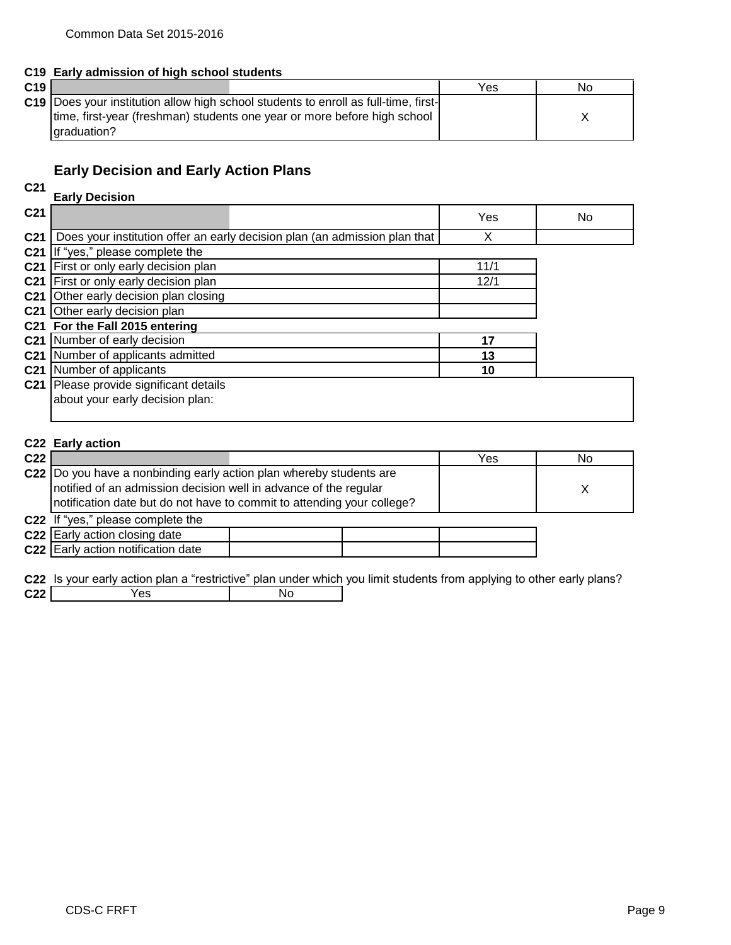|     | C19 Early admission of high school students                                                |     |    |
|-----|--------------------------------------------------------------------------------------------|-----|----|
| C19 |                                                                                            | Yes | No |
|     | <b>C19</b> Does your institution allow high school students to enroll as full-time, first- |     |    |
|     | time, first-year (freshman) students one year or more before high school                   |     |    |
|     | lgraduation?                                                                               |     |    |

# **Early Decision and Early Action Plans**

#### **C21**

| C <sub>21</sub> |                                                                            |      |     |
|-----------------|----------------------------------------------------------------------------|------|-----|
|                 | <b>Early Decision</b>                                                      |      |     |
| C <sub>21</sub> |                                                                            | Yes  | No. |
| C <sub>21</sub> | Does your institution offer an early decision plan (an admission plan that | X    |     |
| C <sub>21</sub> | If "yes," please complete the                                              |      |     |
| C <sub>21</sub> | First or only early decision plan                                          | 11/1 |     |
| C <sub>21</sub> | First or only early decision plan                                          | 12/1 |     |
|                 | C21 Other early decision plan closing                                      |      |     |
| C <sub>21</sub> | Other early decision plan                                                  |      |     |
|                 | C21 For the Fall 2015 entering                                             |      |     |
|                 | C21 Number of early decision                                               | 17   |     |
|                 | C21 Number of applicants admitted                                          | 13   |     |
| C <sub>21</sub> | Number of applicants                                                       | 10   |     |
|                 | C21 Please provide significant details                                     |      |     |
|                 | about your early decision plan:                                            |      |     |
|                 |                                                                            |      |     |

### **C22 Early action**

| C <sub>22</sub> |                                                                                                                                                                                                                     | Yes | No |
|-----------------|---------------------------------------------------------------------------------------------------------------------------------------------------------------------------------------------------------------------|-----|----|
|                 | C22  Do you have a nonbinding early action plan whereby students are<br>notified of an admission decision well in advance of the regular<br>Inotification date but do not have to commit to attending your college? |     |    |
|                 | C22 If "yes," please complete the                                                                                                                                                                                   |     |    |

| <b>C22</b> Early action closing date      |  |  |
|-------------------------------------------|--|--|
| <b>C22</b> Early action notification date |  |  |

**C22** Is your early action plan a "restrictive" plan under which you limit students from applying to other early plans? **C22** Yes No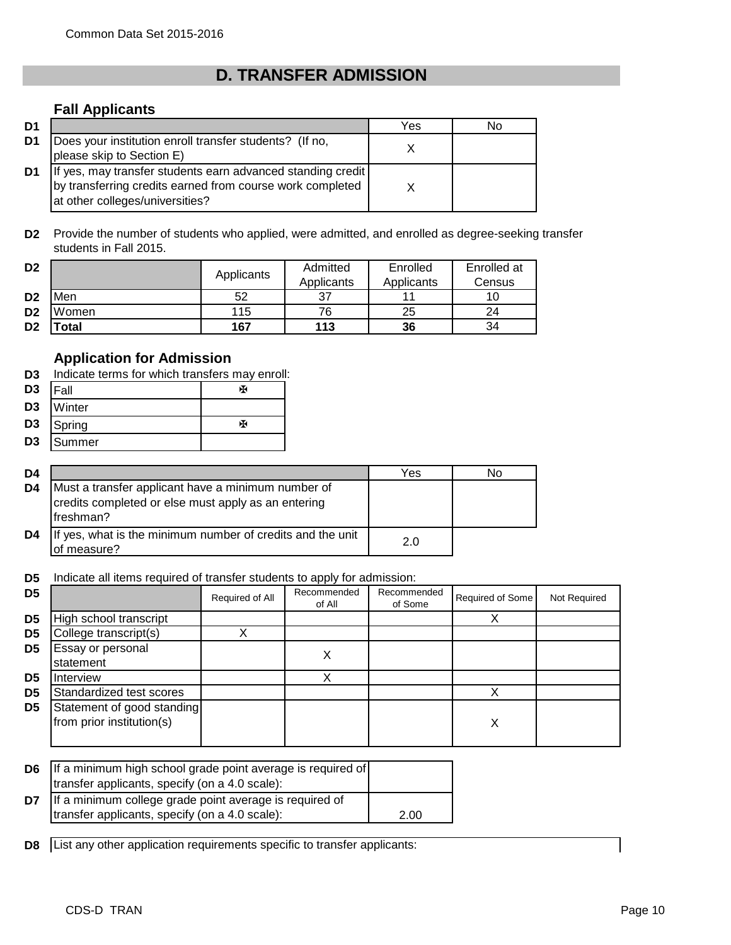# **D. TRANSFER ADMISSION**

## **Fall Applicants**

| D <sub>1</sub> |                                                                                                                                                             | Yes | No |
|----------------|-------------------------------------------------------------------------------------------------------------------------------------------------------------|-----|----|
| D1             | Does your institution enroll transfer students? (If no,<br>please skip to Section E)                                                                        |     |    |
| D1             | If yes, may transfer students earn advanced standing credit<br>by transferring credits earned from course work completed<br>at other colleges/universities? |     |    |

**D2** Provide the number of students who applied, were admitted, and enrolled as degree-seeking transfer students in Fall 2015.

| D <sub>2</sub> |       | Applicants | Admitted<br>Applicants | Enrolled<br>Applicants | Enrolled at<br>Census |
|----------------|-------|------------|------------------------|------------------------|-----------------------|
| D <sub>2</sub> | Men   | 52         | 37                     | 11                     |                       |
| D <sub>2</sub> | Women | 115        | 76                     | 25                     | 24                    |
| D <sub>2</sub> | 'otal | 167        | 113                    | 36                     | 34                    |

# **Application for Admission**

|                | D3 Indicate terms for which transfers may enroll: |  |  |  |  |
|----------------|---------------------------------------------------|--|--|--|--|
| D <sub>3</sub> | <b>IFall</b>                                      |  |  |  |  |
| D3             | Winter                                            |  |  |  |  |
| D3             | Spring                                            |  |  |  |  |
| D3             | Summer                                            |  |  |  |  |

| D <sub>4</sub> |                                                                                                                        | Yes | N٥ |
|----------------|------------------------------------------------------------------------------------------------------------------------|-----|----|
| D4             | Must a transfer applicant have a minimum number of<br>credits completed or else must apply as an entering<br>freshman? |     |    |
| D4             | If yes, what is the minimum number of credits and the unit<br>of measure?                                              | 2.0 |    |

**D5** Indicate all items required of transfer students to apply for admission:

| D <sub>5</sub> |                                                         | Required of All | Recommended<br>of All | Recommended<br>of Some | Required of Some | Not Required |
|----------------|---------------------------------------------------------|-----------------|-----------------------|------------------------|------------------|--------------|
| D <sub>5</sub> | High school transcript                                  |                 |                       |                        |                  |              |
| D <sub>5</sub> | College transcript(s)                                   |                 |                       |                        |                  |              |
| D <sub>5</sub> | Essay or personal<br>statement                          |                 | Х                     |                        |                  |              |
| D <sub>5</sub> | Interview                                               |                 | v                     |                        |                  |              |
| D <sub>5</sub> | Standardized test scores                                |                 |                       |                        |                  |              |
| D <sub>5</sub> | Statement of good standing<br>from prior institution(s) |                 |                       |                        | Х                |              |

| D <sub>6</sub> | If a minimum high school grade point average is required of |      |
|----------------|-------------------------------------------------------------|------|
|                | transfer applicants, specify (on a 4.0 scale):              |      |
| D7             | If a minimum college grade point average is required of     |      |
|                | transfer applicants, specify (on a 4.0 scale):              | 2.00 |

**D8** List any other application requirements specific to transfer applicants: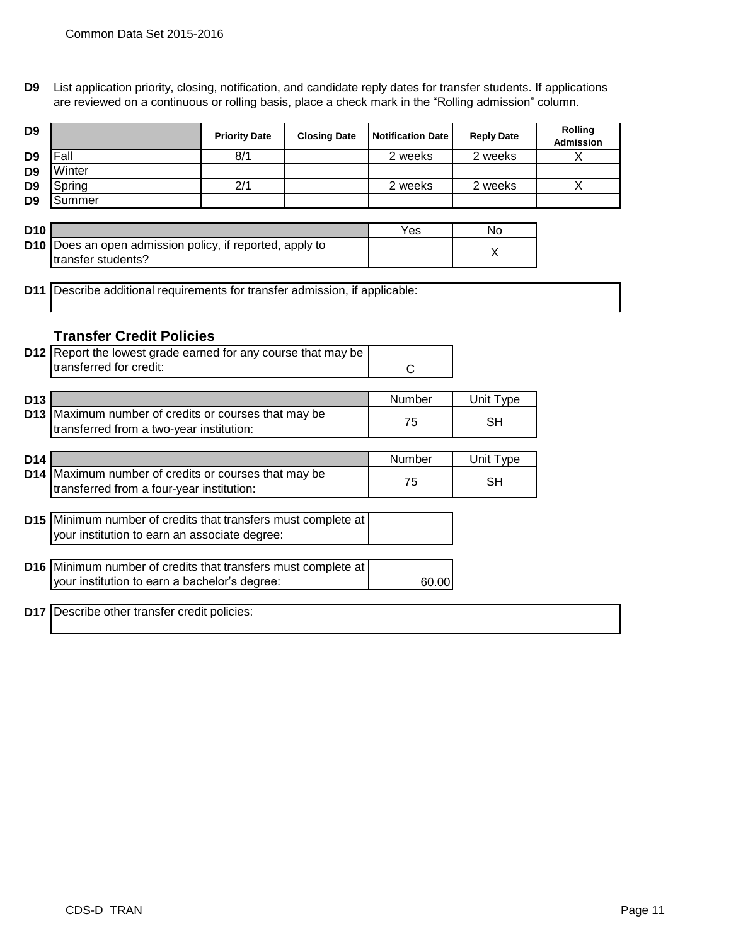**D9** List application priority, closing, notification, and candidate reply dates for transfer students. If applications are reviewed on a continuous or rolling basis, place a check mark in the "Rolling admission" column.

| D <sub>9</sub> |        | <b>Priority Date</b> | <b>Closing Date</b> | <b>Notification Date</b> | <b>Reply Date</b> | <b>Rolling</b><br><b>Admission</b> |
|----------------|--------|----------------------|---------------------|--------------------------|-------------------|------------------------------------|
| D <sub>9</sub> | Fall   | 8/1                  |                     | 2 weeks                  | 2 weeks           |                                    |
| D <sub>9</sub> | Winter |                      |                     |                          |                   |                                    |
| D <sub>9</sub> | Spring | 2/1                  |                     | 2 weeks                  | 2 weeks           |                                    |
| D <sub>9</sub> | Summer |                      |                     |                          |                   |                                    |

| D <sub>10</sub> |                                                                 | Yes | Nο |
|-----------------|-----------------------------------------------------------------|-----|----|
|                 | <b>D10</b> Does an open admission policy, if reported, apply to |     |    |
|                 | Itransfer students?                                             |     |    |

**D11** Describe additional requirements for transfer admission, if applicable:

## **Transfer Credit Policies**

|                                    | <b>D12</b> Report the lowest grade earned for any course that may be<br>transferred for credit:                | C            |                 |  |
|------------------------------------|----------------------------------------------------------------------------------------------------------------|--------------|-----------------|--|
| D <sub>13</sub><br>D <sub>13</sub> | Maximum number of credits or courses that may be<br>transferred from a two-year institution:                   | Number<br>75 | Unit Type<br>SH |  |
| D <sub>14</sub><br>D <sub>14</sub> | Maximum number of credits or courses that may be<br>transferred from a four-year institution:                  | Number<br>75 | Unit Type<br>SH |  |
|                                    | D15 Minimum number of credits that transfers must complete at<br>your institution to earn an associate degree: |              |                 |  |
|                                    | D16 Minimum number of credits that transfers must complete at<br>your institution to earn a bachelor's degree: | 60.00        |                 |  |
| <b>D17</b>                         | Describe other transfer credit policies:                                                                       |              |                 |  |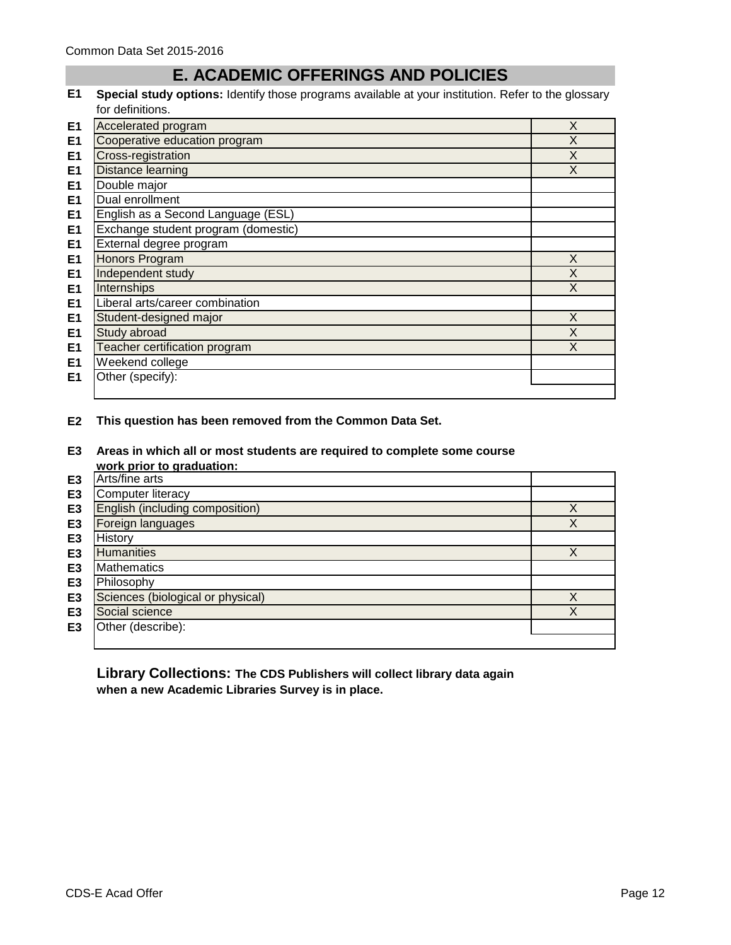# **E. ACADEMIC OFFERINGS AND POLICIES**

**E1 Special study options:** Identify those programs available at your institution. Refer to the glossary for definitions.

| E <sub>1</sub> | Accelerated program                 | X |
|----------------|-------------------------------------|---|
| E <sub>1</sub> | Cooperative education program       | X |
| E <sub>1</sub> | Cross-registration                  | X |
| E <sub>1</sub> | Distance learning                   | X |
| E <sub>1</sub> | Double major                        |   |
| E <sub>1</sub> | Dual enrollment                     |   |
| E <sub>1</sub> | English as a Second Language (ESL)  |   |
| E <sub>1</sub> | Exchange student program (domestic) |   |
| E <sub>1</sub> | External degree program             |   |
| E <sub>1</sub> | <b>Honors Program</b>               | X |
| E <sub>1</sub> | Independent study                   | X |
| E <sub>1</sub> | Internships                         | X |
| E <sub>1</sub> | Liberal arts/career combination     |   |
| E <sub>1</sub> | Student-designed major              | X |
| E <sub>1</sub> | Study abroad                        | X |
| E <sub>1</sub> | Teacher certification program       | X |
| E <sub>1</sub> | Weekend college                     |   |
| E <sub>1</sub> | Other (specify):                    |   |
|                |                                     |   |

### **E2 This question has been removed from the Common Data Set.**

**E3 Areas in which all or most students are required to complete some course work prior to graduation:**

|                | work prior to graduation:         |   |
|----------------|-----------------------------------|---|
| E3             | Arts/fine arts                    |   |
| E <sub>3</sub> | Computer literacy                 |   |
| E <sub>3</sub> | English (including composition)   |   |
| E <sub>3</sub> | Foreign languages                 |   |
| E <sub>3</sub> | History                           |   |
| E <sub>3</sub> | Humanities                        | X |
| E <sub>3</sub> | <b>Mathematics</b>                |   |
| E <sub>3</sub> | Philosophy                        |   |
| E <sub>3</sub> | Sciences (biological or physical) | X |
| E <sub>3</sub> | Social science                    | X |
| E <sub>3</sub> | Other (describe):                 |   |
|                |                                   |   |

**Library Collections: The CDS Publishers will collect library data again when a new Academic Libraries Survey is in place.**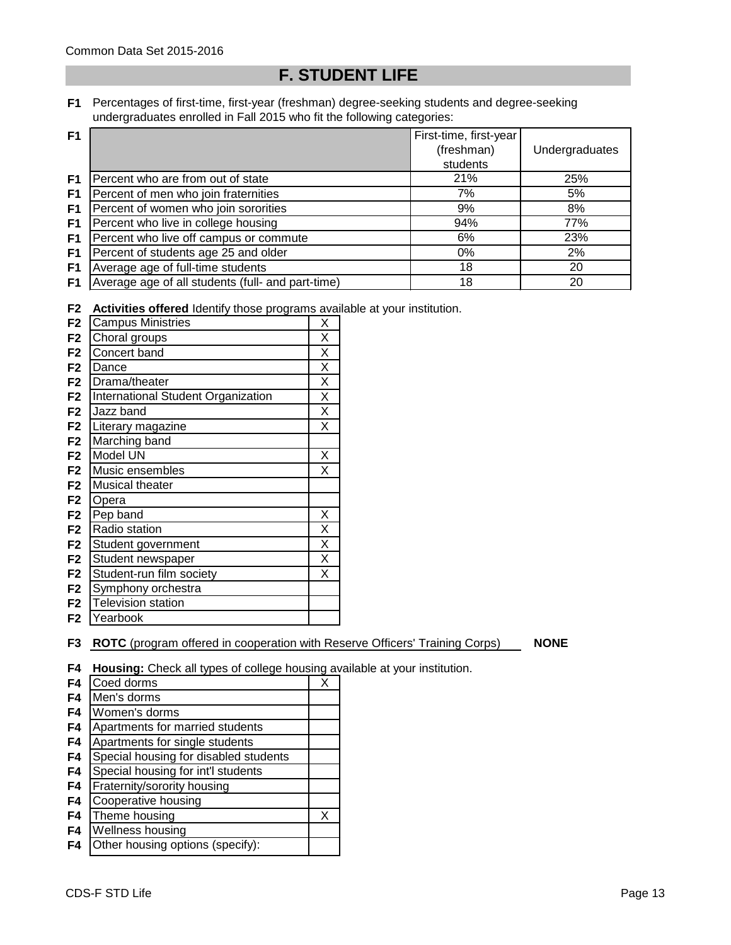# **F. STUDENT LIFE**

**F1** Percentages of first-time, first-year (freshman) degree-seeking students and degree-seeking undergraduates enrolled in Fall 2015 who fit the following categories:

| F <sub>1</sub> |                                                   | First-time, first-year |                |
|----------------|---------------------------------------------------|------------------------|----------------|
|                |                                                   | (freshman)             | Undergraduates |
|                |                                                   | students               |                |
| F <sub>1</sub> | Percent who are from out of state                 | 21%                    | 25%            |
| F <sub>1</sub> | Percent of men who join fraternities              | 7%                     | 5%             |
| F <sub>1</sub> | Percent of women who join sororities              | 9%                     | 8%             |
| F <sub>1</sub> | Percent who live in college housing               | 94%                    | 77%            |
| F1             | Percent who live off campus or commute            | 6%                     | 23%            |
| F1             | Percent of students age 25 and older              | $0\%$                  | 2%             |
| F <sub>1</sub> | Average age of full-time students                 | 18                     | 20             |
| F <sub>1</sub> | Average age of all students (full- and part-time) | 18                     | 20             |

**F2 Activities offered** Identify those programs available at your institution.

| F <sub>2</sub> | <b>Campus Ministries</b>           | Χ |
|----------------|------------------------------------|---|
| F <sub>2</sub> | Choral groups                      | Χ |
| F <sub>2</sub> | Concert band                       | Χ |
| F <sub>2</sub> | Dance                              | Χ |
| F <sub>2</sub> | Drama/theater                      | Χ |
| F <sub>2</sub> | International Student Organization | Χ |
| F <sub>2</sub> | Jazz band                          | Χ |
| F <sub>2</sub> | Literary magazine                  | Χ |
| F <sub>2</sub> | Marching band                      |   |
| F <sub>2</sub> | Model UN                           | Χ |
| F <sub>2</sub> | Music ensembles                    | X |
| F <sub>2</sub> | <b>Musical theater</b>             |   |
| F <sub>2</sub> | Opera                              |   |
| F <sub>2</sub> | Pep band                           | Χ |
| F <sub>2</sub> | Radio station                      | X |
| F <sub>2</sub> | Student government                 | X |
| F <sub>2</sub> | Student newspaper                  | X |
| F <sub>2</sub> | Student-run film society           | Χ |
| F <sub>2</sub> | Symphony orchestra                 |   |
| F <sub>2</sub> | <b>Television station</b>          |   |
| F2             | Yearbook                           |   |

**F3 ROTC** (program offered in cooperation with Reserve Officers' Training Corps) **NONE** 

**F4 Housing:** Check all types of college housing available at your institution.

| F4             | Coed dorms                            | Χ |
|----------------|---------------------------------------|---|
| F <sub>4</sub> | Men's dorms                           |   |
| F <sub>4</sub> | Women's dorms                         |   |
| F <sub>4</sub> | Apartments for married students       |   |
| F <sub>4</sub> | Apartments for single students        |   |
| F <sub>4</sub> | Special housing for disabled students |   |
| F <sub>4</sub> | Special housing for int'l students    |   |
| F <sub>4</sub> | Fraternity/sorority housing           |   |
| F <sub>4</sub> | Cooperative housing                   |   |
| F <sub>4</sub> | Theme housing                         | X |
| F <sub>4</sub> | Wellness housing                      |   |
| F4             | Other housing options (specify):      |   |
|                |                                       |   |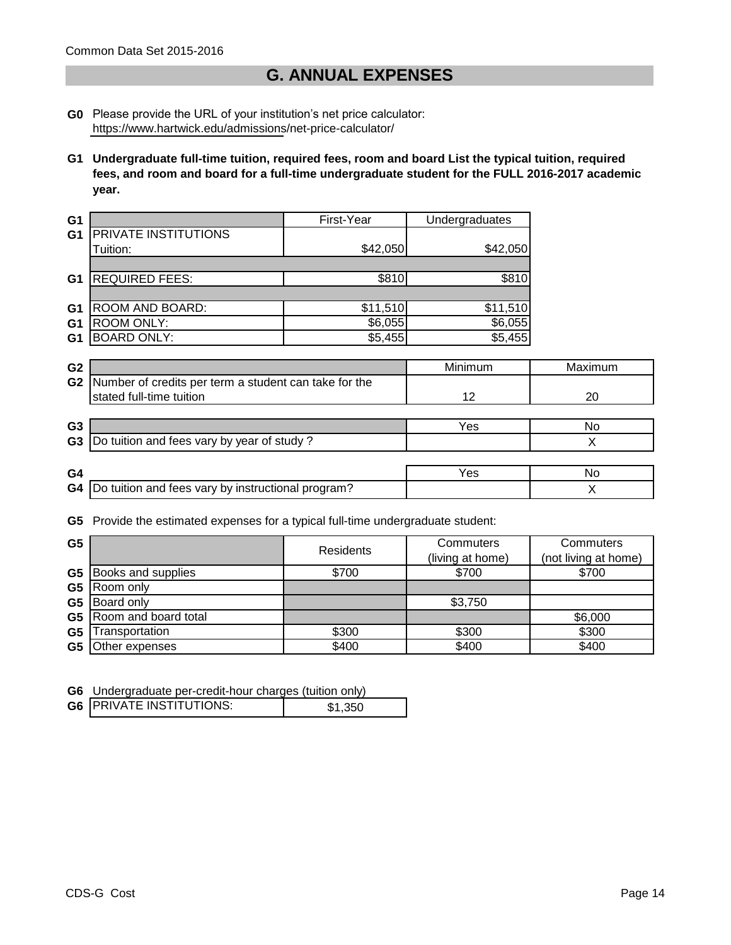# **G. ANNUAL EXPENSES**

- **G0** Please provide the URL of your institution's net price calculator: https://www.hartwick.edu/admissions/net-price-calculator/
- **G1 Undergraduate full-time tuition, required fees, room and board List the typical tuition, required fees, and room and board for a full-time undergraduate student for the FULL 2016-2017 academic year.**

| G1             |                       | First-Year | Undergraduates |
|----------------|-----------------------|------------|----------------|
| G <sub>1</sub> | PRIVATE INSTITUTIONS  |            |                |
|                | Tuition:              | \$42,050   | \$42,050       |
|                |                       |            |                |
| G1             | <b>REQUIRED FEES:</b> | \$810      | \$810          |
|                |                       |            |                |
| G1             | ROOM AND BOARD:       | \$11,510   | \$11,510       |
| G <sub>1</sub> | ROOM ONLY:            | \$6,055    | \$6,055        |
| G1             | <b>BOARD ONLY:</b>    | \$5,455    | \$5,455        |

|                                                    | Minimum                                                                                                                         | Maximum |
|----------------------------------------------------|---------------------------------------------------------------------------------------------------------------------------------|---------|
|                                                    |                                                                                                                                 |         |
|                                                    | 12                                                                                                                              | 20      |
|                                                    |                                                                                                                                 |         |
|                                                    | Yes                                                                                                                             | No      |
|                                                    |                                                                                                                                 |         |
|                                                    |                                                                                                                                 |         |
|                                                    | Yes                                                                                                                             | No      |
| Do tuition and fees vary by instructional program? |                                                                                                                                 |         |
|                                                    | Number of credits per term a student can take for the<br>stated full-time tuition<br>Do tuition and fees vary by year of study? |         |

**G5** Provide the estimated expenses for a typical full-time undergraduate student:

| G <sub>5</sub> |                                | Residents | Commuters<br>(living at home) | <b>Commuters</b><br>(not living at home) |
|----------------|--------------------------------|-----------|-------------------------------|------------------------------------------|
|                | <b>G5</b> Books and supplies   | \$700     | \$700                         | \$700                                    |
|                | G5 Room only                   |           |                               |                                          |
|                | G5 Board only                  |           | \$3,750                       |                                          |
|                | <b>G5</b> Room and board total |           |                               | \$6,000                                  |
| G <sub>5</sub> | Transportation                 | \$300     | \$300                         | \$300                                    |
| G5             | Other expenses                 | \$400     | \$400                         | \$400                                    |

**G6** Undergraduate per-credit-hour charges (tuition only)

| <b>G6   PRIVATE INSTITUTIONS:</b> | \$1,350 |
|-----------------------------------|---------|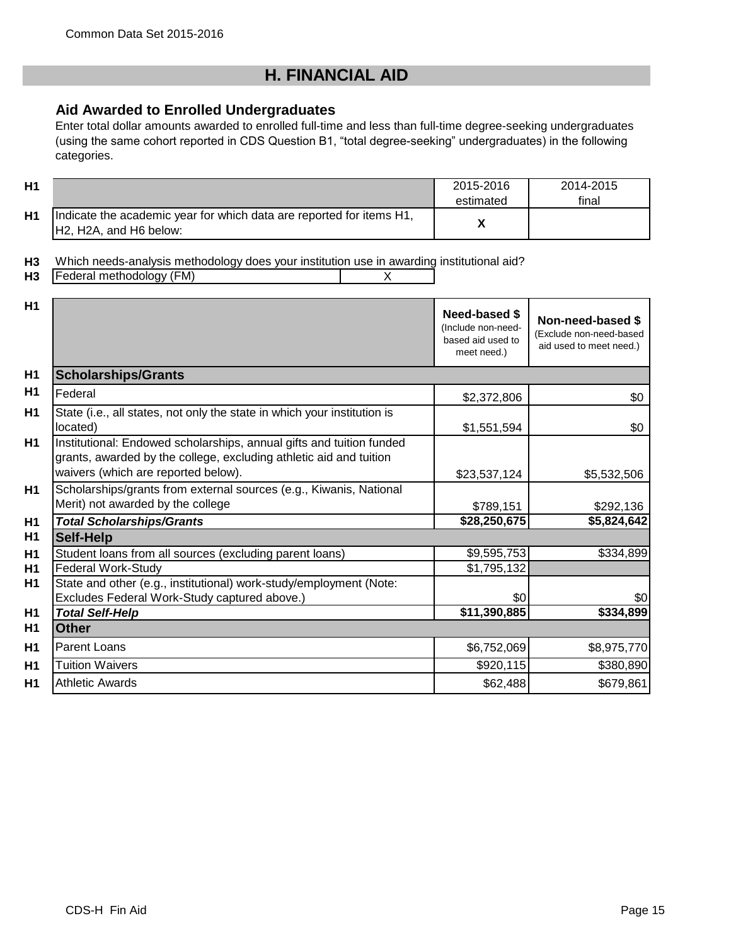# **H. FINANCIAL AID**

# **Aid Awarded to Enrolled Undergraduates**

Enter total dollar amounts awarded to enrolled full-time and less than full-time degree-seeking undergraduates (using the same cohort reported in CDS Question B1, "total degree-seeking" undergraduates) in the following categories.

| Η1 |                                                                                                                                      | 2015-2016<br>estimated | 2014-2015<br>final |
|----|--------------------------------------------------------------------------------------------------------------------------------------|------------------------|--------------------|
| Η1 | Indicate the academic year for which data are reported for items H1,<br>H <sub>2</sub> , H <sub>2</sub> A, and H <sub>6</sub> below: |                        |                    |

**H3** Which needs-analysis methodology does your institution use in awarding institutional aid?

**H3** Federal methodology (FM)  $\overline{X}$ 

| H1             |                                                                                                                                                                                   | <b>Need-based \$</b><br>(Include non-need-<br>based aid used to<br>meet need.) | Non-need-based \$<br>(Exclude non-need-based<br>aid used to meet need.) |
|----------------|-----------------------------------------------------------------------------------------------------------------------------------------------------------------------------------|--------------------------------------------------------------------------------|-------------------------------------------------------------------------|
| H <sub>1</sub> | <b>Scholarships/Grants</b>                                                                                                                                                        |                                                                                |                                                                         |
| H <sub>1</sub> | Federal                                                                                                                                                                           | \$2,372,806                                                                    | \$0                                                                     |
| H1             | State (i.e., all states, not only the state in which your institution is<br>located)                                                                                              | \$1,551,594                                                                    | \$0                                                                     |
| H1             | Institutional: Endowed scholarships, annual gifts and tuition funded<br>grants, awarded by the college, excluding athletic aid and tuition<br>waivers (which are reported below). | \$23,537,124                                                                   | \$5,532,506                                                             |
| H1             | Scholarships/grants from external sources (e.g., Kiwanis, National<br>Merit) not awarded by the college                                                                           | \$789,151                                                                      | \$292,136                                                               |
| H <sub>1</sub> | <b>Total Scholarships/Grants</b>                                                                                                                                                  | \$28,250,675                                                                   | \$5,824,642                                                             |
| H <sub>1</sub> | <b>Self-Help</b>                                                                                                                                                                  |                                                                                |                                                                         |
| H <sub>1</sub> | Student loans from all sources (excluding parent loans)                                                                                                                           | \$9,595,753                                                                    | \$334,899                                                               |
| H <sub>1</sub> | <b>Federal Work-Study</b>                                                                                                                                                         | \$1,795,132                                                                    |                                                                         |
| H1             | State and other (e.g., institutional) work-study/employment (Note:<br>Excludes Federal Work-Study captured above.)                                                                | \$0                                                                            | \$0                                                                     |
| H <sub>1</sub> | <b>Total Self-Help</b>                                                                                                                                                            | \$11,390,885                                                                   | \$334,899                                                               |
| H <sub>1</sub> | <b>Other</b>                                                                                                                                                                      |                                                                                |                                                                         |
| H1             | Parent Loans                                                                                                                                                                      | \$6,752,069                                                                    | \$8,975,770                                                             |
| H1             | <b>Tuition Waivers</b>                                                                                                                                                            | \$920,115                                                                      | \$380,890                                                               |
| H1             | <b>Athletic Awards</b>                                                                                                                                                            | \$62,488                                                                       | \$679,861                                                               |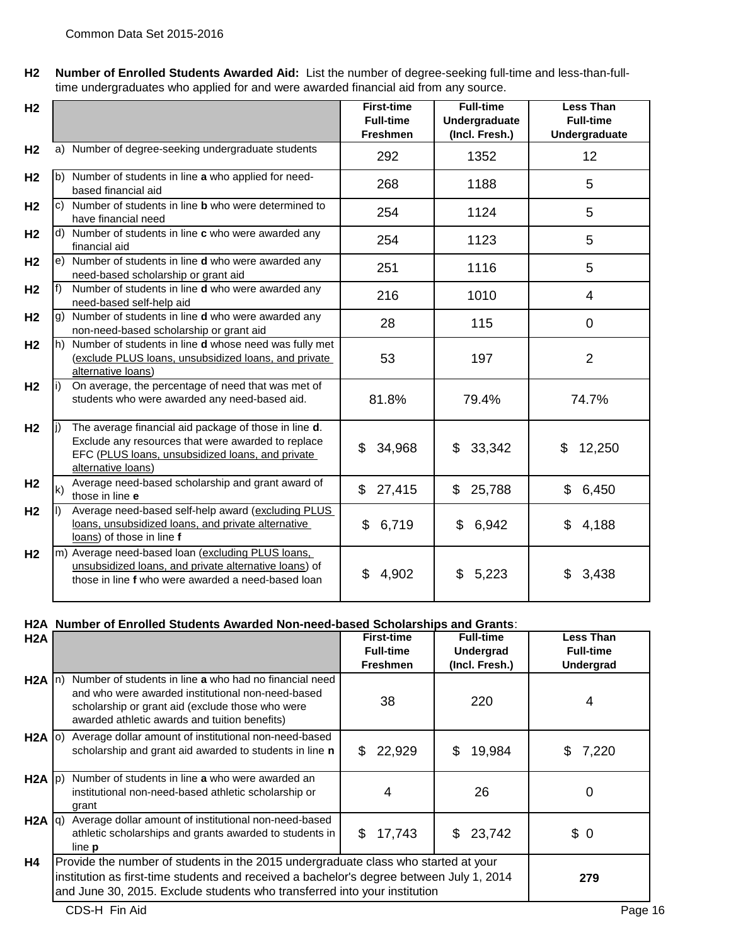**H2 Number of Enrolled Students Awarded Aid:** List the number of degree-seeking full-time and less-than-fulltime undergraduates who applied for and were awarded financial aid from any source.

| H <sub>2</sub> |                                                                                                                                                                                              | <b>First-time</b><br><b>Full-time</b><br><b>Freshmen</b> | <b>Full-time</b><br>Undergraduate<br>(Incl. Fresh.) | <b>Less Than</b><br><b>Full-time</b><br>Undergraduate |
|----------------|----------------------------------------------------------------------------------------------------------------------------------------------------------------------------------------------|----------------------------------------------------------|-----------------------------------------------------|-------------------------------------------------------|
| H <sub>2</sub> | Number of degree-seeking undergraduate students<br>a)                                                                                                                                        | 292                                                      | 1352                                                | 12                                                    |
| H <sub>2</sub> | b) Number of students in line a who applied for need-<br>based financial aid                                                                                                                 | 268                                                      | 1188                                                | 5                                                     |
| H <sub>2</sub> | c) Number of students in line <b>b</b> who were determined to<br>have financial need                                                                                                         | 254                                                      | 1124                                                | 5                                                     |
| H <sub>2</sub> | d) Number of students in line c who were awarded any<br>financial aid                                                                                                                        | 254                                                      | 1123                                                | 5                                                     |
| H <sub>2</sub> | e) Number of students in line <b>d</b> who were awarded any<br>need-based scholarship or grant aid                                                                                           | 251                                                      | 1116                                                | 5                                                     |
| H <sub>2</sub> | Number of students in line d who were awarded any<br>f)<br>need-based self-help aid                                                                                                          | 216                                                      | 1010                                                | 4                                                     |
| H <sub>2</sub> | Number of students in line d who were awarded any<br>$\mathbf{g}$<br>non-need-based scholarship or grant aid                                                                                 | 28                                                       | 115                                                 | 0                                                     |
| H <sub>2</sub> | Number of students in line d whose need was fully met<br>h)<br>(exclude PLUS loans, unsubsidized loans, and private<br>alternative loans)                                                    | 53                                                       | 197                                                 | $\overline{2}$                                        |
| H <sub>2</sub> | On average, the percentage of need that was met of<br>li)<br>students who were awarded any need-based aid.                                                                                   | 81.8%                                                    | 79.4%                                               | 74.7%                                                 |
| H <sub>2</sub> | The average financial aid package of those in line d.<br>li)<br>Exclude any resources that were awarded to replace<br>EFC (PLUS loans, unsubsidized loans, and private<br>alternative loans) | 34,968<br>\$                                             | 33,342<br>\$                                        | \$<br>12,250                                          |
| H <sub>2</sub> | Average need-based scholarship and grant award of<br>$\mathsf{k}$<br>those in line e                                                                                                         | 27,415<br>\$                                             | 25,788<br>\$                                        | \$<br>6,450                                           |
| H <sub>2</sub> | Average need-based self-help award (excluding PLUS<br>I)<br>loans, unsubsidized loans, and private alternative<br>loans) of those in line f                                                  | \$<br>6,719                                              | 6,942<br>\$                                         | \$<br>4,188                                           |
| H <sub>2</sub> | m) Average need-based loan (excluding PLUS loans,<br>unsubsidized loans, and private alternative loans) of<br>those in line f who were awarded a need-based loan                             | \$<br>4,902                                              | 5,223<br>\$                                         | \$<br>3,438                                           |

### **H2A Number of Enrolled Students Awarded Non-need-based Scholarships and Grants**:

| H <sub>2</sub> A  |                                                                                                                                                                                                                                                             | <b>First-time</b> | <b>Full-time</b> | Less Than        |
|-------------------|-------------------------------------------------------------------------------------------------------------------------------------------------------------------------------------------------------------------------------------------------------------|-------------------|------------------|------------------|
|                   |                                                                                                                                                                                                                                                             | <b>Full-time</b>  | Undergrad        | <b>Full-time</b> |
|                   |                                                                                                                                                                                                                                                             | <b>Freshmen</b>   | (Incl. Fresh.)   | Undergrad        |
| $H2A \mid n$      | Number of students in line a who had no financial need<br>and who were awarded institutional non-need-based<br>scholarship or grant aid (exclude those who were<br>awarded athletic awards and tuition benefits)                                            | 38                | 220              | 4                |
| $H2A$ (0)         | Average dollar amount of institutional non-need-based<br>scholarship and grant aid awarded to students in line n                                                                                                                                            | 22,929<br>S.      | 19,984<br>\$     | 7,220<br>S.      |
| $H2A$ $ p\rangle$ | Number of students in line a who were awarded an<br>institutional non-need-based athletic scholarship or<br>grant                                                                                                                                           | 4                 | 26               | 0                |
| $H2A  q\rangle$   | Average dollar amount of institutional non-need-based<br>athletic scholarships and grants awarded to students in<br>line <b>p</b>                                                                                                                           | \$<br>17,743      | \$23,742         | \$0              |
| H4                | Provide the number of students in the 2015 undergraduate class who started at your<br>institution as first-time students and received a bachelor's degree between July 1, 2014<br>and June 30, 2015. Exclude students who transferred into your institution |                   |                  | 279              |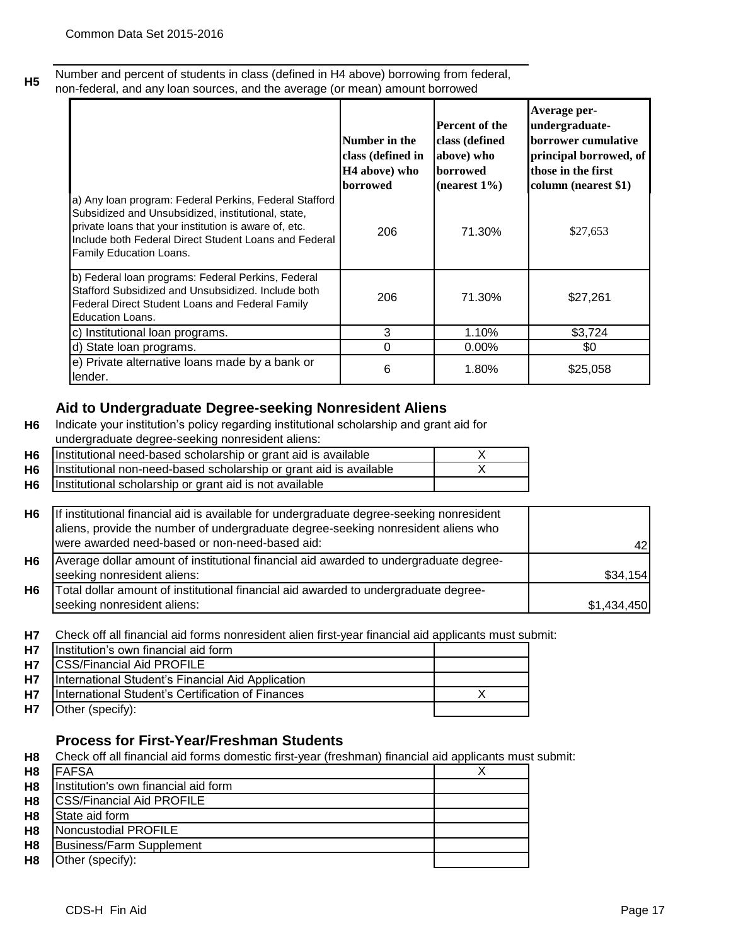**H5**

Number and percent of students in class (defined in H4 above) borrowing from federal, non-federal, and any loan sources, and the average (or mean) amount borrowed

|                                                                                                                                                                                                                                                                  | Number in the<br>class (defined in<br>H4 above) who<br><b>borrowed</b> | <b>Percent of the</b><br>class (defined<br>above) who<br><b>borrowed</b><br>$(nearest 1\%)$ | Average per-<br>undergraduate-<br><b>borrower</b> cumulative<br>principal borrowed, of<br>those in the first<br>column (nearest \$1) |
|------------------------------------------------------------------------------------------------------------------------------------------------------------------------------------------------------------------------------------------------------------------|------------------------------------------------------------------------|---------------------------------------------------------------------------------------------|--------------------------------------------------------------------------------------------------------------------------------------|
| a) Any Ioan program: Federal Perkins, Federal Stafford<br>Subsidized and Unsubsidized, institutional, state,<br>private loans that your institution is aware of, etc.<br>Include both Federal Direct Student Loans and Federal<br><b>Family Education Loans.</b> | 206                                                                    | 71.30%                                                                                      | \$27,653                                                                                                                             |
| b) Federal loan programs: Federal Perkins, Federal<br>Stafford Subsidized and Unsubsidized. Include both<br>Federal Direct Student Loans and Federal Family<br><b>Education Loans.</b>                                                                           | 206                                                                    | 71.30%                                                                                      | \$27,261                                                                                                                             |
| c) Institutional loan programs.                                                                                                                                                                                                                                  | 3                                                                      | 1.10%                                                                                       | \$3,724                                                                                                                              |
| d) State loan programs.                                                                                                                                                                                                                                          | 0                                                                      | $0.00\%$                                                                                    | \$0                                                                                                                                  |
| e) Private alternative loans made by a bank or<br>lender.                                                                                                                                                                                                        | 6                                                                      | 1.80%                                                                                       | \$25,058                                                                                                                             |

## **Aid to Undergraduate Degree-seeking Nonresident Aliens**

**H6** Indicate your institution's policy regarding institutional scholarship and grant aid for undergraduate degree-seeking nonresident aliens:

| <b>H6</b>   | Institutional need-based scholarship or grant aid is available     |  |
|-------------|--------------------------------------------------------------------|--|
| H6 <b>H</b> | Institutional non-need-based scholarship or grant aid is available |  |
| H6          | Institutional scholarship or grant aid is not available            |  |

| H <sub>6</sub> | If institutional financial aid is available for undergraduate degree-seeking nonresident<br>aliens, provide the number of undergraduate degree-seeking nonresident aliens who |             |
|----------------|-------------------------------------------------------------------------------------------------------------------------------------------------------------------------------|-------------|
|                | were awarded need-based or non-need-based aid:                                                                                                                                |             |
| H <sub>6</sub> | Average dollar amount of institutional financial aid awarded to undergraduate degree-                                                                                         |             |
|                | seeking nonresident aliens:                                                                                                                                                   | \$34,154    |
| H <sub>6</sub> | Total dollar amount of institutional financial aid awarded to undergraduate degree-                                                                                           |             |
|                | seeking nonresident aliens:                                                                                                                                                   | \$1,434,450 |

**H7** Check off all financial aid forms nonresident alien first-year financial aid applicants must submit:

|           | H7 Institution's own financial aid form           |  |
|-----------|---------------------------------------------------|--|
| <b>H7</b> | <b>CSS/Financial Aid PROFILE</b>                  |  |
| <b>H7</b> | International Student's Financial Aid Application |  |
| <b>H7</b> | International Student's Certification of Finances |  |
|           | <b>H7</b> Other (specify):                        |  |

## **Process for First-Year/Freshman Students**

**H8** Check off all financial aid forms domestic first-year (freshman) financial aid applicants must submit:

| H <sub>8</sub> | <b>FAFSA</b>                         |  |
|----------------|--------------------------------------|--|
| H <sub>8</sub> | Institution's own financial aid form |  |
| H <sub>8</sub> | <b>CSS/Financial Aid PROFILE</b>     |  |
| H <sub>8</sub> | State aid form                       |  |
| H <sub>8</sub> | Noncustodial PROFILE                 |  |
| H <sub>8</sub> | Business/Farm Supplement             |  |
| H <sub>8</sub> | Other (specify):                     |  |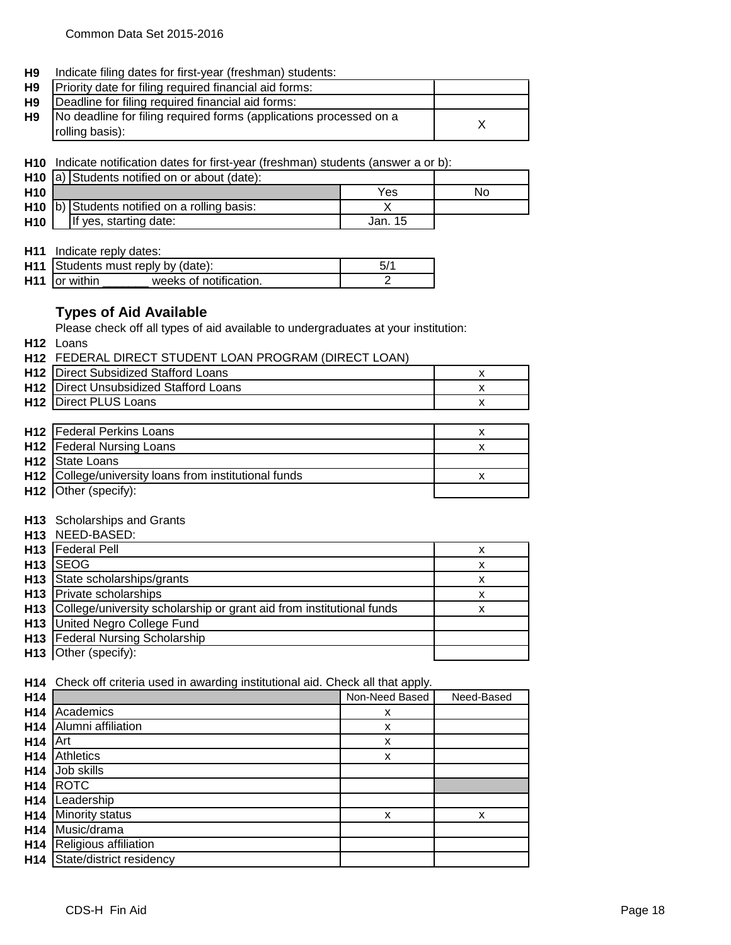**H9** Indicate filing dates for first-year (freshman) students:

| <b>H9</b> Priority date for filing required financial aid forms:             |  |
|------------------------------------------------------------------------------|--|
| <b>H9 Deadline for filing required financial aid forms:</b>                  |  |
| <b>H9</b> No deadline for filing required forms (applications processed on a |  |
| rolling basis):                                                              |  |

**H10** Indicate notification dates for first-year (freshman) students (answer a or b):

|                 | H <sub>10</sub> a) Students notified on or about (date): |         |    |
|-----------------|----------------------------------------------------------|---------|----|
| H <sub>10</sub> |                                                          | Yes     | NΟ |
|                 | $H10$ b) Students notified on a rolling basis:           |         |    |
| <b>H10</b>      | If yes, starting date:                                   | Jan. 15 |    |

**H11** Indicate reply dates:

|                           | <b>H11</b> Students must reply by (date): | 5/1 |
|---------------------------|-------------------------------------------|-----|
| H <sub>11</sub> or within | weeks of notification.                    |     |

## **Types of Aid Available**

Please check off all types of aid available to undergraduates at your institution:

**H12** Loans

| H12 FEDERAL DIRECT STUDENT LOAN PROGRAM (DIRECT LOAN) |  |
|-------------------------------------------------------|--|
|                                                       |  |

| <b>H12</b> Direct Subsidized Stafford Loans   |  |
|-----------------------------------------------|--|
| <b>H12</b> Direct Unsubsidized Stafford Loans |  |
| <b>H12</b> Direct PLUS Loans                  |  |

| <b>H12</b> Federal Perkins Loans                             |  |
|--------------------------------------------------------------|--|
| <b>H12</b>   Federal Nursing Loans                           |  |
| H <sub>12</sub> State Loans                                  |  |
| <b>H12</b> College/university loans from institutional funds |  |
| H12 Other (specify):                                         |  |

#### **H13** Scholarships and Grants

| H13 NEED-BASED: |
|-----------------|
|-----------------|

| <b>H13</b>   Federal Pell                                                | x |
|--------------------------------------------------------------------------|---|
| H <sub>13</sub> SEOG                                                     |   |
| H <sub>13</sub> State scholarships/grants                                | x |
| <b>H13</b> Private scholarships                                          | x |
| H13 College/university scholarship or grant aid from institutional funds | x |
| H13 United Negro College Fund                                            |   |
| <b>H13</b>   Federal Nursing Scholarship                                 |   |
| H <sub>13</sub> Other (specify):                                         |   |

#### **H14** Check off criteria used in awarding institutional aid. Check all that apply.

| H14             |                          | Non-Need Based | Need-Based |
|-----------------|--------------------------|----------------|------------|
| H14             | Academics                | x              |            |
| H <sub>14</sub> | Alumni affiliation       | x              |            |
| H <sub>14</sub> | Art                      | x              |            |
| H <sub>14</sub> | Athletics                | x              |            |
| H14             | Job skills               |                |            |
| H14             | <b>ROTC</b>              |                |            |
| H14             | Leadership               |                |            |
| H14             | Minority status          | X              | X          |
| H14             | Music/drama              |                |            |
| H <sub>14</sub> | Religious affiliation    |                |            |
| H14             | State/district residency |                |            |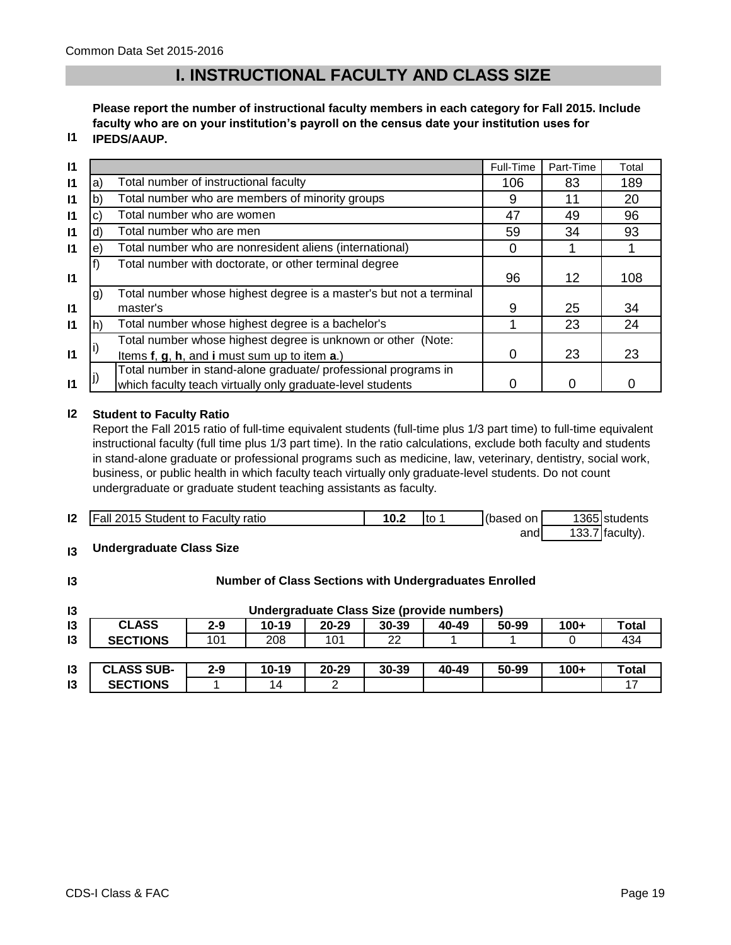# **I. INSTRUCTIONAL FACULTY AND CLASS SIZE**

**Please report the number of instructional faculty members in each category for Fall 2015. Include faculty who are on your institution's payroll on the census date your institution uses for IPEDS/AAUP.**

# **I1**

| $\mathsf{I}$ |    |                                                                    | Full-Time | Part-Time | Total |
|--------------|----|--------------------------------------------------------------------|-----------|-----------|-------|
| $\mathbf{I}$ | a) | Total number of instructional faculty                              | 106       | 83        | 189   |
| $\mathbf{I}$ | b) | Total number who are members of minority groups                    | 9         | 11        | 20    |
| $\mathsf{I}$ | c) | Total number who are women                                         | 47        | 49        | 96    |
| $\mathsf{I}$ | d) | Total number who are men                                           | 59        | 34        | 93    |
| $\mathsf{I}$ | e) | Total number who are nonresident aliens (international)            | 0         |           |       |
|              |    | Total number with doctorate, or other terminal degree              |           |           |       |
| $\mathbf{I}$ |    |                                                                    | 96        | 12        | 108   |
|              | g) | Total number whose highest degree is a master's but not a terminal |           |           |       |
| $\mathbf{I}$ |    | master's                                                           | 9         | 25        | 34    |
| $\mathsf{I}$ | h) | Total number whose highest degree is a bachelor's                  |           | 23        | 24    |
|              |    | Total number whose highest degree is unknown or other (Note:       |           |           |       |
| $\mathsf{I}$ |    | Items f, g, h, and i must sum up to item a.)                       | 0         | 23        | 23    |
|              |    | Total number in stand-alone graduate/ professional programs in     |           |           |       |
| $\mathbf{I}$ |    | which faculty teach virtually only graduate-level students         |           | 0         |       |

#### **I2 Student to Faculty Ratio**

Report the Fall 2015 ratio of full-time equivalent students (full-time plus 1/3 part time) to full-time equivalent instructional faculty (full time plus 1/3 part time). In the ratio calculations, exclude both faculty and students in stand-alone graduate or professional programs such as medicine, law, veterinary, dentistry, social work, business, or public health in which faculty teach virtually only graduate-level students. Do not count undergraduate or graduate student teaching assistants as faculty.

| $\mathsf{I2}$ | <b>Fall 2015 Student to Faculty ratio</b> | 10.2 | "to | (based on I | 1365 students     |
|---------------|-------------------------------------------|------|-----|-------------|-------------------|
|               |                                           |      |     | andl        | $133.7$ faculty). |

#### **I3 Undergraduate Class Size**

| $\mathsf{I}3$ | <b>Number of Class Sections with Undergraduates Enrolled</b> |         |           |           |           |       |       |        |       |
|---------------|--------------------------------------------------------------|---------|-----------|-----------|-----------|-------|-------|--------|-------|
| $\mathsf{I}3$ | Undergraduate Class Size (provide numbers)                   |         |           |           |           |       |       |        |       |
| 13            | <b>CLASS</b>                                                 | $2 - 9$ | 10-19     | $20 - 29$ | $30 - 39$ | 40-49 | 50-99 | $100+$ | Total |
| 13            | <b>SECTIONS</b>                                              | 101     | 208       | 101       | 22        |       |       |        | 434   |
|               |                                                              |         |           |           |           |       |       |        |       |
| $\mathsf{I}3$ | <b>CLASS SUB-</b>                                            | $2 - 9$ | $10 - 19$ | $20 - 29$ | $30 - 39$ | 40-49 | 50-99 | $100+$ | Total |
| 13            | <b>SECTIONS</b>                                              |         | 14        | າ         |           |       |       |        | 17    |